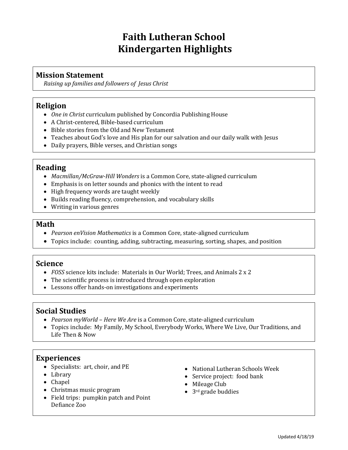## **Faith Lutheran School Kindergarten Highlights**

## **Mission Statement**

*Raising up families and followers of Jesus Christ*

## **Religion**

- *One in Christ* curriculum published by Concordia Publishing House
- A Christ-centered, Bible-based curriculum
- Bible stories from the Old and New Testament
- Teaches about God's love and His plan for our salvation and our daily walk with Jesus
- Daily prayers, Bible verses, and Christian songs

## **Reading**

- *Macmillan/McGraw-Hill Wonders* is a Common Core, state-aligned curriculum
- Emphasis is on letter sounds and phonics with the intent to read
- High frequency words are taught weekly
- Builds reading fluency, comprehension, and vocabulary skills
- Writing in various genres

#### **Math**

- *Pearson enVision Mathematics* is a Common Core, state-aligned curriculum
- Topics include: counting, adding, subtracting, measuring, sorting, shapes, and position

## **Science**

- *FOSS* science kits include: Materials in Our World; Trees, and Animals 2 x 2
- The scientific process is introduced through open exploration
- Lessons offer hands-on investigations and experiments

## **Social Studies**

- *Pearson myWorld – Here We Are* is a Common Core, state-aligned curriculum
- Topics include: My Family, My School, Everybody Works, Where We Live, Our Traditions, and Life Then & Now

## **Experiences**

- Specialists: art, choir, and PE
- Library
- Chapel
- Christmas music program
- Field trips: pumpkin patch and Point Defiance Zoo
- National Lutheran Schools Week
- Service project: food bank
- Mileage Club
- 3<sup>rd</sup> grade buddies